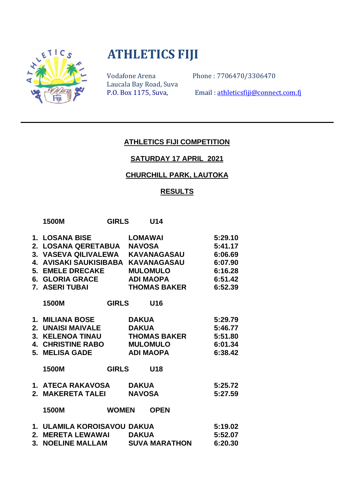

# **ATHLETICS FIJI**

Laucala Bay Road, Suva

Vodafone Arena Phone : 7706470/3306470

Email [: athleticsfiji@connect.com.fj](mailto:athleticsfiji@connect.com.fj)

## **ATHLETICS FIJI COMPETITION**

#### **SATURDAY 17 APRIL 2021**

## **CHURCHILL PARK, LAUTOKA**

#### **RESULTS**

| 1500M                                                                                                                                                                                                 | <b>GIRLS</b>           |               | U14                                                        |                                                                           |
|-------------------------------------------------------------------------------------------------------------------------------------------------------------------------------------------------------|------------------------|---------------|------------------------------------------------------------|---------------------------------------------------------------------------|
| 1. LOSANA BISE<br>2. LOSANA QERETABUA NAVOSA<br>3. VASEVA QILIVALEWA KAVANAGASAU<br>4. AVISAKI SAUKISIBABA  KAVANAGASAU<br><b>5. EMELE DRECAKE</b><br><b>6. GLORIA GRACE</b><br><b>7. ASERI TUBAI</b> | <b>EXECUTE LOMAWAI</b> |               | <b>MULOMULO</b><br><b>ADI MAOPA</b><br><b>THOMAS BAKER</b> | 5:29.10<br>5:41.17<br>6:06.69<br>6:07.90<br>6:16.28<br>6:51.42<br>6:52.39 |
| 1500M                                                                                                                                                                                                 | <b>GIRLS</b>           |               | U <sub>16</sub>                                            |                                                                           |
| 1. MILIANA BOSE DAKUA<br>2. UNAISI MAIVALE<br>3. KELENOA TINAU THOMAS BAKER<br>4. CHRISTINE RABO MULOMULO<br><b>5. MELISA GADE</b>                                                                    |                        | <b>DAKUA</b>  | ADI MAOPA                                                  | 5:29.79<br>5:46.77<br>5:51.80<br>6:01.34<br>6:38.42                       |
| 1500M                                                                                                                                                                                                 | <b>GIRLS</b>           |               | U <sub>18</sub>                                            |                                                                           |
| 1. ATECA RAKAVOSA DAKUA<br>2. MAKERETA TALEI                                                                                                                                                          |                        | <b>NAVOSA</b> |                                                            | 5:25.72<br>5:27.59                                                        |
| 1500M                                                                                                                                                                                                 | <b>WOMEN</b>           |               | <b>OPEN</b>                                                |                                                                           |
| 1. ULAMILA KOROISAVOU DAKUA<br>2. MERETA LEWAWAI DAKUA<br>3. NOELINE MALLAM SUVA MARATHON                                                                                                             |                        |               |                                                            | 5:19.02<br>5:52.07<br>6:20.30                                             |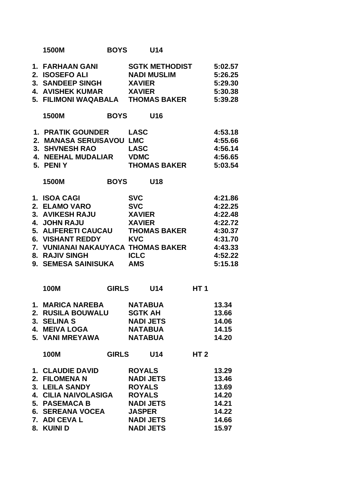|    | 1500M                              | <b>BOYS</b>  |                  | U14                   |             |         |
|----|------------------------------------|--------------|------------------|-----------------------|-------------|---------|
|    | 1. FARHAAN GANI                    |              |                  | <b>SGTK METHODIST</b> |             | 5:02.57 |
|    | 2. ISOSEFO ALI                     |              |                  | <b>NADI MUSLIM</b>    |             | 5:26.25 |
|    | 3. SANDEEP SINGH                   |              | <b>XAVIER</b>    |                       |             | 5:29.30 |
|    | <b>4. AVISHEK KUMAR</b>            |              | <b>XAVIER</b>    |                       |             | 5:30.38 |
|    | 5. FILIMONI WAQABALA THOMAS BAKER  |              |                  |                       |             | 5:39.28 |
|    | 1500M                              | <b>BOYS</b>  |                  | U16                   |             |         |
|    | 1. PRATIK GOUNDER LASC             |              |                  |                       |             | 4:53.18 |
|    | 2. MANASA SERUISAVOU LMC           |              |                  |                       |             | 4:55.66 |
|    | 3. SHVNESH RAO                     |              | <b>LASC</b>      |                       |             | 4:56.14 |
|    | 4. NEEHAL MUDALIAR                 |              | <b>VDMC</b>      |                       |             | 4:56.65 |
|    | 5. PENIY                           |              |                  | <b>THOMAS BAKER</b>   |             | 5:03.54 |
|    | 1500M                              | <b>BOYS</b>  |                  | U18                   |             |         |
|    | 1. ISOA CAGI                       |              | <b>SVC</b>       |                       |             | 4:21.86 |
|    | <b>2. ELAMO VARO</b>               |              | <b>SVC</b>       |                       |             | 4:22.25 |
|    | 3. AVIKESH RAJU                    |              | <b>XAVIER</b>    |                       |             | 4:22.48 |
|    | 4. JOHN RAJU                       |              | <b>XAVIER</b>    |                       |             | 4:22.72 |
| 5. | ALIFERETI CAUCAU THOMAS BAKER      |              |                  |                       |             | 4:30.37 |
|    | <b>6. VISHANT REDDY</b>            |              | <b>KVC</b>       |                       |             | 4:31.70 |
|    | 7. VUNIANAI NAKAUYACA THOMAS BAKER |              |                  |                       |             | 4:43.33 |
|    | 8. RAJIV SINGH                     |              | <b>ICLC</b>      |                       |             | 4:52.22 |
|    | <b>9. SEMESA SAINISUKA</b>         |              | <b>AMS</b>       |                       |             | 5:15.18 |
|    |                                    |              |                  |                       |             |         |
|    | 100M                               | <b>GIRLS</b> |                  | U14                   | <b>HT1</b>  |         |
|    | 1. MARICA NAREBANA NATABUA         |              |                  |                       |             | 13.34   |
|    | 2. RUSILA BOUWALU                  |              | <b>SGTK AH</b>   |                       |             | 13.66   |
|    | 3. SELINA S                        |              | <b>NADI JETS</b> |                       |             | 14.06   |
|    | 4. MEIVA LOGA                      |              | <b>NATABUA</b>   |                       |             | 14.15   |
|    | <b>5. VANI MREYAWA</b>             |              | <b>NATABUA</b>   |                       |             | 14.20   |
|    | <b>100M</b>                        | <b>GIRLS</b> |                  | <b>U14</b>            | <b>HT 2</b> |         |
|    | <b>1. CLAUDIE DAVID</b>            |              | <b>ROYALS</b>    |                       |             | 13.29   |
|    | 2. FILOMENA N                      |              | <b>NADI JETS</b> |                       |             | 13.46   |
|    | 3. LEILA SANDY                     |              | <b>ROYALS</b>    |                       |             | 13.69   |
|    | 4. CILIA NAIVOLASIGA               |              | <b>ROYALS</b>    |                       |             | 14.20   |
|    | <b>5. PASEMACA B</b>               |              | <b>NADI JETS</b> |                       |             | 14.21   |
|    | <b>6. SEREANA VOCEA</b>            |              | <b>JASPER</b>    |                       |             | 14.22   |
|    | 7. ADI CEVA L                      |              |                  | <b>NADI JETS</b>      |             | 14.66   |
|    | 8. KUINI D                         |              |                  | <b>NADI JETS</b>      |             | 15.97   |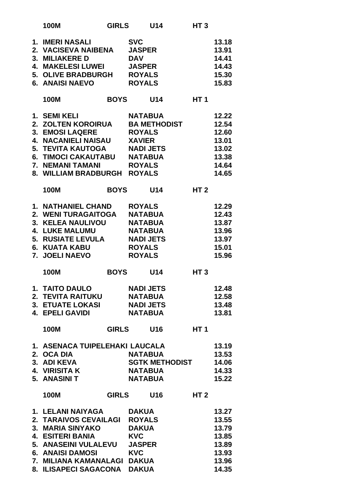|                      | <b>100M</b>                                                                                                                                                                                                      | <b>GIRLS</b> |                                                                                                                           | U14                                                       | HT <sub>3</sub> |                                                                      |
|----------------------|------------------------------------------------------------------------------------------------------------------------------------------------------------------------------------------------------------------|--------------|---------------------------------------------------------------------------------------------------------------------------|-----------------------------------------------------------|-----------------|----------------------------------------------------------------------|
| 1.<br>2.<br>3.<br>4. | <b>IMERI NASALI</b><br><b>VACISEVA NAIBENA</b><br><b>MILIAKERED</b><br><b>MAKELESI LUWEI</b><br><b>5. OLIVE BRADBURGH</b><br><b>6. ANAISI NAEVO</b>                                                              |              | <b>SVC</b><br><b>JASPER</b><br><b>DAV</b><br><b>JASPER</b><br><b>ROYALS</b><br><b>ROYALS</b>                              |                                                           |                 | 13.18<br>13.91<br>14.41<br>14.43<br>15.30<br>15.83                   |
|                      | <b>100M</b>                                                                                                                                                                                                      | <b>BOYS</b>  |                                                                                                                           | U14                                                       | <b>HT1</b>      |                                                                      |
| 1.<br>5.<br>6.       | <b>SEMI KELI</b><br>2. ZOLTEN KOROIRUA<br>3. EMOSI LAQERE<br><b>4. NACANIELI NAISAU</b><br>TEVITA KAUTOGA<br><b>TIMOCI CAKAUTABU</b><br><b>7. NEMANI TAMANI</b><br>8. WILLIAM BRADBURGH                          |              | <b>NATABUA</b><br><b>ROYALS</b><br><b>XAVIER</b><br><b>NADI JETS</b><br><b>NATABUA</b><br><b>ROYALS</b><br><b>ROYALS</b>  | <b>BA METHODIST</b>                                       |                 | 12.22<br>12.54<br>12.60<br>13.01<br>13.02<br>13.38<br>14.64<br>14.65 |
|                      | <b>100M</b>                                                                                                                                                                                                      | <b>BOYS</b>  |                                                                                                                           | U14                                                       | HT <sub>2</sub> |                                                                      |
| 3.<br>4.<br>5.<br>7. | <b>1. NATHANIEL CHAND</b><br>2. WENI TURAGAITOGA<br><b>KELEA NAULIVOU</b><br><b>LUKE MALUMU</b><br><b>RUSIATE LEVULA</b><br><b>6. KUATA KABU</b><br><b>JOELI NAEVO</b>                                           |              | <b>ROYALS</b><br><b>NATABUA</b><br><b>NATABUA</b><br><b>NATABUA</b><br><b>NADI JETS</b><br><b>ROYALS</b><br><b>ROYALS</b> |                                                           |                 | 12.29<br>12.43<br>13.87<br>13.96<br>13.97<br>15.01<br>15.96          |
|                      | 100M                                                                                                                                                                                                             | <b>BOYS</b>  |                                                                                                                           | U14                                                       | HT <sub>3</sub> |                                                                      |
|                      | <b>1. TAITO DAULO</b><br>2. TEVITA RAITUKU<br><b>3. ETUATE LOKASI</b><br>4. EPELI GAVIDI                                                                                                                         |              | <b>NATABUA</b>                                                                                                            | <b>NADI JETS</b><br><b>NATABUA</b><br><b>NADI JETS</b>    |                 | 12.48<br>12.58<br>13.48<br>13.81                                     |
|                      | <b>100M</b>                                                                                                                                                                                                      | <b>GIRLS</b> |                                                                                                                           | <b>U16</b>                                                | HT <sub>1</sub> |                                                                      |
|                      | 1. ASENACA TUIPELEHAKI LAUCALA<br>2. OCA DIA<br>3. ADI KEVA<br>4. VIRISITA K<br>5. ANASINI T                                                                                                                     |              | <b>NATABUA</b>                                                                                                            | <b>SGTK METHODIST</b><br><b>NATABUA</b><br><b>NATABUA</b> |                 | 13.19<br>13.53<br>14.06<br>14.33<br>15.22                            |
|                      | <b>100M</b>                                                                                                                                                                                                      | <b>GIRLS</b> |                                                                                                                           | <b>U16</b>                                                | HT <sub>2</sub> |                                                                      |
|                      | 1. LELANI NAIYAGA DAKUA<br>2. TARAIVOS CEVAILAGI ROYALS<br>3. MARIA SINYAKO<br>4. ESITERI BANIA<br>5. ANASEINI VULALEVU<br><b>6. ANAISI DAMOSI</b><br>7. MILIANA KAMANALAGI DAKUA<br>8. ILISAPECI SAGACONA DAKUA |              | <b>DAKUA</b><br><b>KVC</b><br><b>JASPER</b><br><b>KVC</b>                                                                 |                                                           |                 | 13.27<br>13.55<br>13.79<br>13.85<br>13.89<br>13.93<br>13.96<br>14.35 |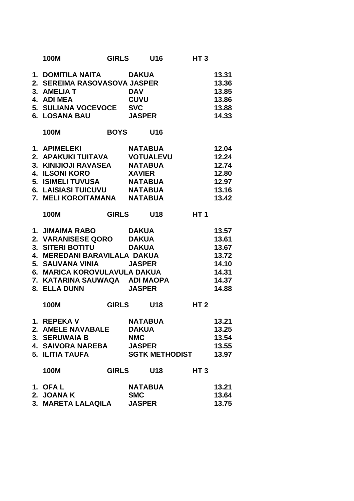| <b>SIRLS</b><br>100M                                                                                                                                                                          |              |                                               | U16 HT 3              |                 |                                           |
|-----------------------------------------------------------------------------------------------------------------------------------------------------------------------------------------------|--------------|-----------------------------------------------|-----------------------|-----------------|-------------------------------------------|
| 3. AMELIA T DAV 13.85<br>4. ADI MEA CUVU 13.86<br>5. SULIANA VOCEVOCE SVC 13.88<br>6. LOSANA BAU JASPER 14.33                                                                                 |              |                                               |                       |                 | 13.31<br>13.36                            |
| <b>EXAMPLE BOYS U16</b><br><b>100M</b>                                                                                                                                                        |              |                                               |                       |                 |                                           |
| 1. APIMELEKI NATABUA 12.04<br>2. APAKUKI TUITAVA VOTUALEVU<br>3. KINIJIOJI RAVASEA NATABUA 12.74<br>4. ILSONI KORO XAVIER 12.80<br>6. LAISIASI TUICUVU NATABUA<br>7. MELI KOROITAMANA NATABUA |              |                                               |                       |                 | 12.24<br>12.74<br>13.16<br>13.42          |
| <b>100M</b>                                                                                                                                                                                   |              |                                               | GIRLS U18 HT1         |                 |                                           |
| 3. SITERI BOTITU DAKUA<br>4. MEREDANI BARAVILALA DAKUA<br>5. SAUVANA VINIA JASPER<br>6.  MARICA KOROVULAVULA DAKUA<br>7.  KATARINA SAUWAQA    ADI MAOPA<br>8. ELLA DUNN JASPER                |              |                                               |                       | 13.72<br>14.10  | 13.57<br>13.67<br>14.31<br>14.37<br>14.88 |
| <b>100M</b>                                                                                                                                                                                   |              |                                               | GIRLS U18 HT 2        |                 |                                           |
| 2. AMELE NAVABALE<br>3. SERUWAIA B<br><b>4. SAIVORA NAREBA</b><br>5. ILITIA TAUFA                                                                                                             |              | <b>DAKUA</b><br><b>NMC</b><br><b>JASPER</b>   | <b>SGTK METHODIST</b> |                 | 13.21<br>13.25<br>13.54<br>13.55<br>13.97 |
| <b>100M</b>                                                                                                                                                                                   | <b>GIRLS</b> |                                               | <b>U18</b>            | HT <sub>3</sub> |                                           |
| 1. OFAL<br>2. JOANAK<br>3. MARETA LALAQILA                                                                                                                                                    |              | <b>NATABUA</b><br><b>SMC</b><br><b>JASPER</b> |                       |                 | 13.21<br>13.64<br>13.75                   |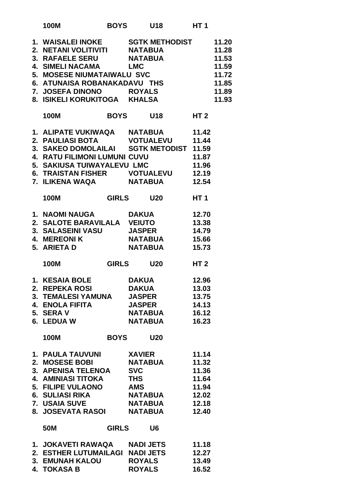| <b>100M</b>                                                                                                                                                                                                                                                                         | <b>BOYS</b>  |                                                                                                                   | U18 HT1        |                                                                      |                                                                      |
|-------------------------------------------------------------------------------------------------------------------------------------------------------------------------------------------------------------------------------------------------------------------------------------|--------------|-------------------------------------------------------------------------------------------------------------------|----------------|----------------------------------------------------------------------|----------------------------------------------------------------------|
| 1. WAISALEI INOKE SGTK METHODIST<br>2. NETANI VOLITIVITI           NATABUA<br>3.   RAFAELE SERU                NATABUA<br>4. SIMELI NACAMA<br>5. MOSESE NIUMATAIWALU SVC<br>6. ATUNAISA ROBANAKADAVU THS<br>7. JOSEEA DINONO<br>6. AIUNAISA RUDANAISANAS<br>7. JOSEFA DINONO ROYALS |              |                                                                                                                   |                |                                                                      | 11.20<br>11.28<br>11.53<br>11.59<br>11.72<br>11.85<br>11.89<br>11.93 |
| 100M                                                                                                                                                                                                                                                                                |              | BOYS U18                                                                                                          |                | HT 2                                                                 |                                                                      |
| 1. ALIPATE VUKIWAQA NATABUA<br>2. PAULIASI BOTA VOTUALEVU 11.44<br>3. SAKEO DOMOLAILAI SGTK METODIST 11.59<br>4. RATU FILIMONI LUMUNI CUVU<br>5. SAKIUSA TUIWAYALEVU LMC<br>6. TRAISTAN FISHER VOTUALEVU 12.19<br>7. ILIKENA WAQA NATABUA                                           |              |                                                                                                                   |                | 11.42<br>11.87<br>11.96<br>12.54                                     |                                                                      |
| <b>100M</b>                                                                                                                                                                                                                                                                         |              | GIRLS U20                                                                                                         |                | HT <sub>1</sub>                                                      |                                                                      |
| 1. NAOMI NAUGA DAKUA<br>2. SALOTE BARAVILALA VEIUTO 13.38<br>3. SALASEINI VASU JASPER 14.79                                                                                                                                                                                         |              |                                                                                                                   |                | 12.70                                                                |                                                                      |
| <b>100M</b>                                                                                                                                                                                                                                                                         |              | GIRLS U20                                                                                                         |                | HT <sub>2</sub>                                                      |                                                                      |
| 1. KESAIA BOLE DAKUA 12.96<br>2. REPEKA ROSI DAKUA 13.03<br>3. TEMALESI YAMUNA<br><b>4. ENOLA FIFITA</b><br>5. SERA V<br>6. LEDUA W                                                                                                                                                 |              | <b>JASPER</b><br><b>JASPER</b><br><b>NATABUA</b><br><b>NATABUA</b>                                                |                | 13.75<br>14.13<br>16.12<br>16.23                                     |                                                                      |
| 100M                                                                                                                                                                                                                                                                                | <b>BOYS</b>  |                                                                                                                   | <b>U20</b>     |                                                                      |                                                                      |
| 1. PAULA TAUVUNI<br>2. MOSESE BOBI<br><b>3. APENISA TELENOA</b><br>4. AMINIASI TITOKA<br><b>5. FILIPE VULAONO</b><br><b>6. SULIASI RIKA</b><br><b>7. USAIA SUVE</b><br><b>8. JOSEVATA RASOI</b>                                                                                     |              | <b>XAVIER</b><br>NATABUA<br><b>SVC</b><br><b>THS</b><br><b>AMS</b><br><b>NATABUA</b><br><b>NATABUA</b><br>NATABUA |                | 11.14<br>11.32<br>11.36<br>11.64<br>11.94<br>12.02<br>12.18<br>12.40 |                                                                      |
| <b>50M</b>                                                                                                                                                                                                                                                                          | <b>GIRLS</b> |                                                                                                                   | U <sub>6</sub> |                                                                      |                                                                      |
| 1. JOKAVETI RAWAQA NADI JETS<br>2. ESTHER LUTUMAILAGI NADI JETS<br><b>3. EMUNAH KALOU</b><br><b>4. TOKASA B</b>                                                                                                                                                                     |              | <b>ROYALS</b><br><b>ROYALS</b>                                                                                    |                | 11.18<br>12.27<br>13.49<br>16.52                                     |                                                                      |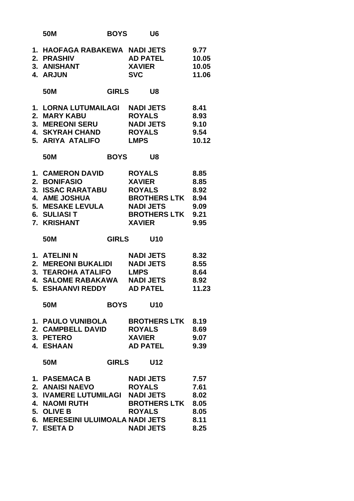|                                  | <b>50M</b>                                                                                                                                                  | <b>BOYS</b>  |                                                                                            | U6                                                               |                                                      |
|----------------------------------|-------------------------------------------------------------------------------------------------------------------------------------------------------------|--------------|--------------------------------------------------------------------------------------------|------------------------------------------------------------------|------------------------------------------------------|
| 1.                               | <b>HAOFAGA RABAKEWA NADI JETS</b><br>2. PRASHIV<br>3. ANISHANT<br>4. ARJUN                                                                                  |              | <b>AD PATEL</b><br><b>XAVIER</b><br><b>SVC</b>                                             |                                                                  | 9.77<br>10.05<br>10.05<br>11.06                      |
|                                  | <b>50M</b>                                                                                                                                                  | <b>GIRLS</b> |                                                                                            | U <sub>8</sub>                                                   |                                                      |
| 1.                               | <b>LORNA LUTUMAILAGI</b><br>2. MARY KABU<br>3. MEREONI SERU<br><b>4. SKYRAH CHAND</b><br><b>5. ARIYA ATALIFO</b>                                            |              | <b>NADI JETS</b><br><b>ROYALS</b><br><b>NADI JETS</b><br><b>ROYALS</b><br><b>LMPS</b>      |                                                                  | 8.41<br>8.93<br>9.10<br>9.54<br>10.12                |
|                                  | <b>50M</b>                                                                                                                                                  | <b>BOYS</b>  |                                                                                            | U8                                                               |                                                      |
| 2.<br>3.<br>4.<br>5.<br>6.<br>7. | <b>1. CAMERON DAVID</b><br><b>BONIFASIO</b><br><b>ISSAC RARATABU</b><br><b>AME JOSHUA</b><br><b>MESAKE LEVULA</b><br><b>SULIASIT</b><br><b>KRISHANT</b>     |              | <b>ROYALS</b><br><b>XAVIER</b><br><b>ROYALS</b><br><b>NADI JETS</b><br><b>XAVIER</b>       | <b>BROTHERS LTK</b><br><b>BROTHERS LTK</b>                       | 8.85<br>8.85<br>8.92<br>8.94<br>9.09<br>9.21<br>9.95 |
|                                  | <b>50M</b>                                                                                                                                                  | <b>GIRLS</b> |                                                                                            | U10                                                              |                                                      |
| 1.                               | <b>ATELINI N</b><br>2. MEREONI BUKALIDI<br>3. TEAROHA ATALIFO<br><b>4. SALOME RABAKAWA</b><br><b>5. ESHAANVI REDDY</b>                                      |              | <b>NADI JETS</b><br><b>NADI JETS</b><br><b>LMPS</b><br><b>NADI JETS</b><br><b>AD PATEL</b> |                                                                  | 8.32<br>8.55<br>8.64<br>8.92<br>11.23                |
|                                  | 50M                                                                                                                                                         | <b>BOYS</b>  |                                                                                            | U <sub>10</sub>                                                  |                                                      |
|                                  | 1. PAULO VUNIBOLA BROTHERS LTK 8.19<br>2. CAMPBELL DAVID ROYALS<br>3. PETERO<br>4. ESHAAN                                                                   |              | <b>XAVIER</b><br><b>AD PATEL</b>                                                           |                                                                  | 8.69<br>9.07<br>9.39                                 |
|                                  | 50M                                                                                                                                                         | <b>GIRLS</b> |                                                                                            | U12                                                              |                                                      |
|                                  | 1. PASEMACA B<br><b>2. ANAISI NAEVO</b><br>3. IVAMERE LUTUMILAGI NADI JETS<br>4. NAOMI RUTH<br>5. OLIVE B<br>6. MERESEINI ULUIMOALA NADI JETS<br>7. ESETA D |              | <b>Example 18 ROYALS</b><br><b>ROYALS</b>                                                  | <b>NADI JETS</b><br><b>BROTHERS LTK 8.05</b><br><b>NADI JETS</b> | 7.57<br>7.61<br>8.02<br>8.05<br>8.11<br>8.25         |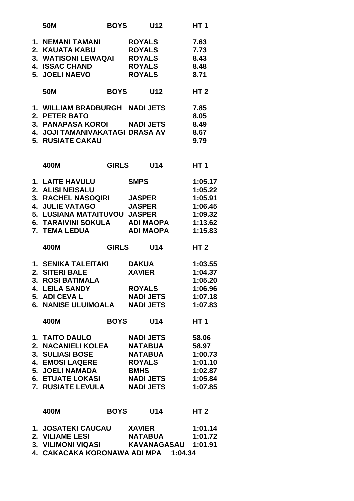| <b>50M</b>                                                                                                                                                                                    | <b>BOYS</b>  |                                                                                   | U12                                  | HT <sub>1</sub>                                                           |
|-----------------------------------------------------------------------------------------------------------------------------------------------------------------------------------------------|--------------|-----------------------------------------------------------------------------------|--------------------------------------|---------------------------------------------------------------------------|
| <b>1. NEMANI TAMANI</b><br>2. KAUATA KABU<br>3. WATISONI LEWAQAI<br>4. ISSAC CHAND<br>5. JOELI NAEVO                                                                                          |              | <b>ROYALS</b><br><b>ROYALS</b><br><b>ROYALS</b><br><b>ROYALS</b><br><b>ROYALS</b> |                                      | 7.63<br>7.73<br>8.43<br>8.48<br>8.71                                      |
| 50M                                                                                                                                                                                           | <b>BOYS</b>  |                                                                                   | U12                                  | HT <sub>2</sub>                                                           |
| 1. WILLIAM BRADBURGH NADI JETS<br>2. PETER BATO<br>3. PANAPASA KOROI NADI JETS<br>4. JOJI TAMANIVAKATAGI DRASA AV<br><b>5. RUSIATE CAKAU</b>                                                  |              |                                                                                   |                                      | 7.85<br>8.05<br>8.49<br>8.67<br>9.79                                      |
| 400M                                                                                                                                                                                          | <b>GIRLS</b> |                                                                                   | <b>U14</b>                           | <b>HT1</b>                                                                |
| <b>1. LAITE HAVULU</b><br>2. ALISI NEISALU<br>3. RACHEL NASOQIRI JASPER<br>4. JULIE VATAGO<br>5. LUSIANA MATAITUVOU JASPER<br><b>6. TARAIVINI SOKULA</b><br>7. TEMA LEDUA                     |              | <b>SMPS</b><br><b>JASPER</b>                                                      | <b>ADI MAOPA</b><br><b>ADI MAOPA</b> | 1:05.17<br>1:05.22<br>1:05.91<br>1:06.45<br>1:09.32<br>1:13.62<br>1:15.83 |
| 400M                                                                                                                                                                                          | <b>GIRLS</b> |                                                                                   | <b>U14</b>                           | <b>HT2</b>                                                                |
| 1. SENIKA TALEITAKI<br>2. SITERI BALE<br><b>3. ROSI BATIMALA</b><br><b>4. LEILA SANDY</b><br>5. ADI CEVA L<br>6. NANISE ULUIMOALA NADI JETS                                                   |              | <b>DAKUA</b><br><b>XAVIER</b>                                                     | <b>ROYALS</b><br><b>NADI JETS</b>    | 1:03.55<br>1:04.37<br>1:05.20<br>1:06.96<br>1:07.18<br>1:07.83            |
| 400M                                                                                                                                                                                          | <b>BOYS</b>  |                                                                                   | <b>U14</b>                           | <b>HT 1</b>                                                               |
| <b>1. TAITO DAULO</b><br>2. NACANIELI KOLEA NATABUA<br>3. SULIASI BOSE<br><b>4. EMOSI LAQERE</b><br>5. JOELI NAMADA BMHS<br>6. ETUATE LOKASI NADI JETS 1:05.84<br>7. RUSIATE LEVULA NADI JETS |              | <b>ROYALS</b>                                                                     | <b>NADI JETS</b><br>NATABUA          | 58.06<br>58.97<br>1:00.73<br>1:01.10<br>1:02.87<br>1:07.85                |
| 400M                                                                                                                                                                                          |              | BOYS U14                                                                          |                                      | HT <sub>2</sub>                                                           |
| 1. JOSATEKI CAUCAU XAVIER<br>2. VILIAME LESI<br>3. VILIMONI VIQASI KAVANAGASAU 1:01.91<br>4. CAKACAKA KORONAWA ADI MPA 1:04.34                                                                |              |                                                                                   | <b>NATABUA</b> 1:01.72               | 1:01.14                                                                   |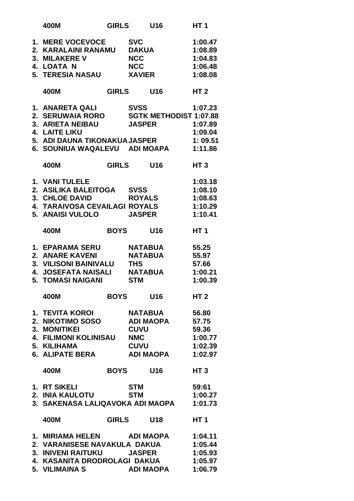| 400M                             | <b>GIRLS</b> |                | U16                           | HT <sub>1</sub> |
|----------------------------------|--------------|----------------|-------------------------------|-----------------|
| 1. MERE VOCEVOCE SVC             |              |                |                               | 1:00.47         |
| 2. KARALAINI RANAMU DAKUA        |              |                |                               | 1:08.89         |
| 3. MILAKERE V                    |              | <b>NCC</b>     |                               | 1:04.83         |
| 4. LOATA N                       |              | <b>NCC</b>     |                               | 1:06.48         |
| <b>5. TERESIA NASAU</b>          |              | <b>XAVIER</b>  |                               | 1:08.08         |
|                                  |              |                |                               |                 |
| 400M                             | <b>GIRLS</b> |                | U16                           | HT <sub>2</sub> |
| 1. ANARETA QALI SVSS             |              |                |                               | 1:07.23         |
| <b>2. SERUWAIA RORO</b>          |              |                | <b>SGTK METHODIST 1:07.88</b> |                 |
| 3. ARIETA NEIBAU                 |              | <b>JASPER</b>  |                               | 1:07.89         |
| <b>4. LAITE LIKU</b>             |              |                |                               | 1:09.04         |
| 5. ADI DAUNA TIKONAKUA JASPER    |              |                |                               | 1:09.51         |
| 6. SOUNIUA WAQALEVU ADI MOAPA    |              |                |                               | 1:11.86         |
| 400M                             | <b>GIRLS</b> |                | U <sub>16</sub>               | HT <sub>3</sub> |
| 1. VANI TULELE                   |              |                |                               | 1:03.18         |
| 2. ASILIKA BALEITOGA SVSS        |              |                |                               |                 |
|                                  |              |                |                               | 1:08.10         |
| 3. CHLOE DAVID                   |              | <b>ROYALS</b>  |                               | 1:08.63         |
| 4. TARAIVOSA CEVAILAGI ROYALS    |              |                |                               | 1:10.29         |
| 5. ANAISI VULOLO                 |              | <b>JASPER</b>  |                               | 1:10.41         |
| 400M                             | <b>BOYS</b>  |                | U16                           | <b>HT1</b>      |
| 1. EPARAMA SERU                  |              | <b>NATABUA</b> |                               | 55.25           |
| 2. ANARE KAVENI                  |              | <b>NATABUA</b> |                               | 55.97           |
| 3. VILISONI BAINIVALU THS        |              |                |                               | 57.66           |
| 4. JOSEFATA NAISALI NATABUA      |              |                |                               | 1:00.21         |
| 5. TOMASI NAIGANI                |              | <b>STM</b>     |                               | 1:00.39         |
|                                  |              |                |                               |                 |
| 400M                             | <b>BOYS</b>  |                | U16                           | HT <sub>2</sub> |
| 1. TEVITA KOROI                  |              | <b>NATABUA</b> |                               | 56.80           |
| 2. NIKOTIMO SOSO                 |              |                | ADI MAOPA 57.75               |                 |
| 3. MONITIKEI                     |              | <b>CUVU</b>    |                               | 59.36           |
| <b>4. FILIMONI KOLINISAU</b>     |              |                |                               |                 |
|                                  |              | <b>NMC</b>     |                               | 1:00.77         |
| 5. KILIHAMA                      |              | <b>CUVU</b>    |                               | 1:02.39         |
| 6. ALIPATE BERA                  |              |                | <b>ADI MAOPA</b>              | 1:02.97         |
| 400M                             | <b>BOYS</b>  |                | U16                           | HT <sub>3</sub> |
| 1. RT SIKELI                     |              | <b>STM</b>     |                               | 59:61           |
| 2. INIA KAULOTU                  |              | <b>STM</b>     |                               | 1:00.27         |
| 3. SAKENASA LALIQAVOKA ADI MAOPA |              |                |                               | 1:01.73         |
| 400M                             | <b>GIRLS</b> |                | <b>U18</b>                    | <b>HT1</b>      |
|                                  |              |                |                               |                 |
| 1. MIRIAMA HELEN ADI MAOPA       |              |                |                               | 1:04.11         |
| 2. VARANISESE NAVAKULA DAKUA     |              |                |                               | 1:05.44         |
| 3. INIVENI RAITUKU               |              | <b>JASPER</b>  |                               | 1:05.93         |
| 4. KASANITA DRODROLAGI DAKUA     |              |                |                               | 1:05.97         |
| 5. VILIMAINA S                   |              |                | <b>ADI MAOPA</b>              | 1:06.79         |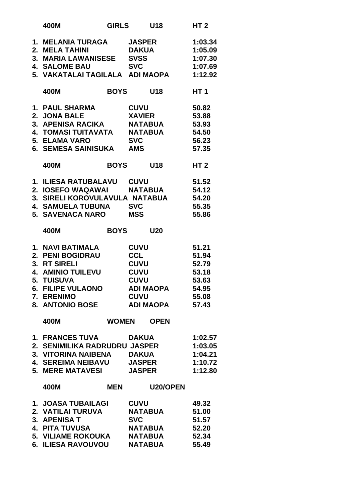|          | 400M                                                                                       | <b>GIRLS</b> |                                                            | U18                       | HT <sub>2</sub>                          |
|----------|--------------------------------------------------------------------------------------------|--------------|------------------------------------------------------------|---------------------------|------------------------------------------|
| 1.<br>2. | <b>MELANIA TURAGA</b><br><b>MELA TAHINI</b><br>3. MARIA LAWANISESE<br><b>4. SALOME BAU</b> |              | <b>JASPER</b><br><b>DAKUA</b><br><b>SVSS</b><br><b>SVC</b> |                           | 1:03.34<br>1:05.09<br>1:07.30<br>1:07.69 |
|          | 5. VAKATALAI TAGILALA ADI MAOPA                                                            |              |                                                            |                           | 1:12.92                                  |
|          | 400M                                                                                       | <b>BOYS</b>  |                                                            | U18                       | <b>HT1</b>                               |
|          | <b>1. PAUL SHARMA</b>                                                                      |              | <b>CUVU</b>                                                |                           | 50.82                                    |
|          | 2. JONA BALE                                                                               |              | <b>XAVIER</b>                                              |                           | 53.88                                    |
|          | 3. APENISA RACIKA<br><b>4. TOMASI TUITAVATA</b>                                            |              |                                                            | <b>NATABUA</b><br>NATABUA | 53.93<br>54.50                           |
|          | 5. ELAMA VARO                                                                              |              | <b>SVC</b>                                                 |                           | 56.23                                    |
|          | <b>6. SEMESA SAINISUKA</b>                                                                 |              | <b>AMS</b>                                                 |                           | 57.35                                    |
|          | 400M                                                                                       | <b>BOYS</b>  |                                                            | U18                       | HT <sub>2</sub>                          |
|          | 1. ILIESA RATUBALAVU CUVU                                                                  |              |                                                            |                           | 51.52                                    |
|          | 2. IOSEFO WAQAWAI                                                                          |              |                                                            | <b>NATABUA</b>            | 54.12                                    |
|          | 3. SIRELI KOROVULAVULA NATABUA                                                             |              |                                                            |                           | 54.20                                    |
|          | <b>4. SAMUELA TUBUNA</b>                                                                   |              | <b>SVC</b>                                                 |                           | 55.35                                    |
|          | 5. SAVENACA NARO                                                                           |              | <b>MSS</b>                                                 |                           | 55.86                                    |
|          | 400M                                                                                       | <b>BOYS</b>  |                                                            | <b>U20</b>                |                                          |
|          | 1. NAVI BATIMALA                                                                           |              | <b>CUVU</b>                                                |                           | 51.21                                    |
|          | 2. PENI BOGIDRAU                                                                           |              | <b>CCL</b>                                                 |                           | 51.94                                    |
|          | 3. RT SIRELI                                                                               |              | <b>CUVU</b>                                                |                           | 52.79                                    |
|          | <b>4. AMINIO TUILEVU</b>                                                                   |              | <b>CUVU</b>                                                |                           | 53.18                                    |
|          | 5. TUISUVA                                                                                 |              | <b>CUVU</b>                                                |                           | 53.63                                    |
|          | <b>6. FILIPE VULAONO</b>                                                                   |              |                                                            | <b>ADI MAOPA</b>          | 54.95                                    |
|          | 7. ERENIMO                                                                                 |              | <b>CUVU</b>                                                |                           | 55.08                                    |
|          | 8. ANTONIO BOSE                                                                            |              |                                                            | <b>ADI MAOPA</b>          | 57.43                                    |
|          | 400M                                                                                       | <b>WOMEN</b> |                                                            | <b>OPEN</b>               |                                          |
|          | 1. FRANCES TUVA DAKUA                                                                      |              |                                                            |                           | 1:02.57                                  |
|          | 2. SENIMILIKA RADRUDRU JASPER                                                              |              |                                                            |                           | 1:03.05                                  |
|          | 3. VITORINA NAIBENA DAKUA                                                                  |              |                                                            |                           | 1:04.21                                  |
|          | 4. SEREIMA NEIBAVU JASPER                                                                  |              |                                                            |                           | 1:10.72                                  |
|          | 5. MERE MATAVESI JASPER                                                                    |              |                                                            |                           | 1:12.80                                  |
|          | 400M                                                                                       | <b>MEN</b>   |                                                            | U20/OPEN                  |                                          |
|          | 1. JOASA TUBAILAGI                                                                         |              | <b>CUVU</b>                                                |                           | 49.32                                    |
|          | 2. VATILAI TURUVA                                                                          |              |                                                            | <b>NATABUA</b>            | 51.00                                    |
|          | 3. APENISA T                                                                               |              | <b>SVC</b>                                                 |                           | 51.57                                    |
|          | <b>4. PITA TUVUSA</b>                                                                      |              |                                                            | <b>NATABUA</b>            | 52.20                                    |
|          | 5. VILIAME ROKOUKA NATABUA                                                                 |              |                                                            |                           | 52.34                                    |
|          | 6. ILIESA RAVOUVOU                                                                         |              |                                                            | <b>NATABUA</b>            | 55.49                                    |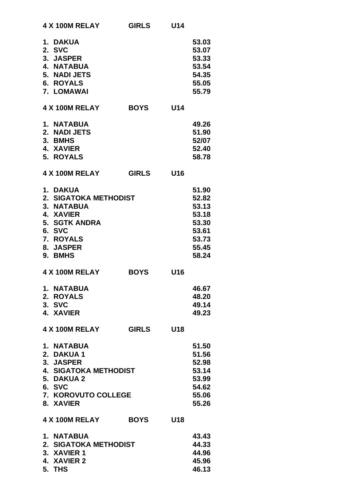| 4 X 100M RELAY                                                                                                                           | <b>GIRLS</b> | U14             |                                                                               |
|------------------------------------------------------------------------------------------------------------------------------------------|--------------|-----------------|-------------------------------------------------------------------------------|
| 1. DAKUA<br>2. SVC<br>3. JASPER<br>4. NATABUA<br>5. NADI JETS<br>6. ROYALS<br>7. LOMAWAI                                                 |              |                 | 53.03<br>53.07<br>53.33<br>53.54<br>54.35<br>55.05<br>55.79                   |
| 4 X 100M RELAY                                                                                                                           | <b>BOYS</b>  | U14             |                                                                               |
| 1. NATABUA<br>2. NADI JETS<br>3. BMHS<br>4. XAVIER<br>5. ROYALS                                                                          |              |                 | 49.26<br>51.90<br>52/07<br>52.40<br>58.78                                     |
| <b>4 X 100M RELAY</b>                                                                                                                    | <b>GIRLS</b> | U16             |                                                                               |
| 1. DAKUA<br>2. SIGATOKA METHODIST<br>3. NATABUA<br>4. XAVIER<br><b>5. SGTK ANDRA</b><br>6. SVC<br>7. ROYALS<br>8. JASPER<br>9. BMHS      |              |                 | 51.90<br>52.82<br>53.13<br>53.18<br>53.30<br>53.61<br>53.73<br>55.45<br>58.24 |
| 4 X 100M RELAY                                                                                                                           | <b>BOYS</b>  | U <sub>16</sub> |                                                                               |
| 1. NATABUA<br>2. ROYALS<br>3. SVC<br>4. XAVIER                                                                                           |              |                 | 46.67<br>48.20<br>49.14<br>49.23                                              |
| 4 X 100M RELAY                                                                                                                           | <b>GIRLS</b> | U18             |                                                                               |
| 1. NATABUA<br>2. DAKUA 1<br><b>3. JASPER</b><br><b>4. SIGATOKA METHODIST</b><br>5. DAKUA 2<br>6. SVC<br>7. KOROVUTO COLLEGE<br>8. XAVIER |              |                 | 51.50<br>51.56<br>52.98<br>53.14<br>53.99<br>54.62<br>55.06<br>55.26          |
| 4 X 100M RELAY                                                                                                                           | <b>BOYS</b>  | U18             |                                                                               |
| 1. NATABUA<br>2. SIGATOKA METHODIST<br>3. XAVIER 1<br>4. XAVIER 2<br>5. THS                                                              |              |                 | 43.43<br>44.33<br>44.96<br>45.96<br>46.13                                     |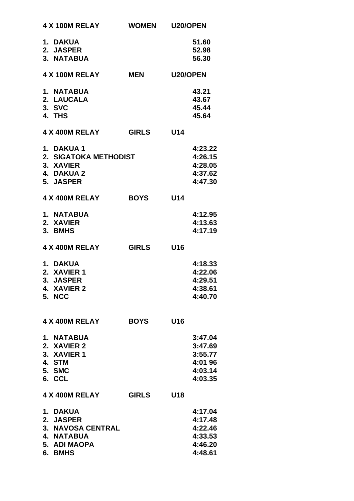|        | <b>4 X 100M RELAY</b> | <b>WOMEN U20/OPEN</b> |                 |         |
|--------|-----------------------|-----------------------|-----------------|---------|
|        | 1. DAKUA              |                       |                 | 51.60   |
|        | 2. JASPER             |                       |                 | 52.98   |
|        | 3. NATABUA            |                       |                 | 56.30   |
|        | 4 X 100M RELAY        | MEN                   | U20/OPEN        |         |
|        | 1. NATABUA            |                       |                 | 43.21   |
|        | 2. LAUCALA            |                       |                 | 43.67   |
| 3. SVC |                       |                       |                 | 45.44   |
| 4. THS |                       |                       |                 | 45.64   |
|        | <b>4 X 400M RELAY</b> | <b>GIRLS</b>          | <b>U14</b>      |         |
|        | 1. DAKUA 1            |                       |                 | 4:23.22 |
|        | 2. SIGATOKA METHODIST |                       |                 | 4:26.15 |
|        | 3. XAVIER             |                       |                 | 4:28.05 |
|        | 4. DAKUA 2            |                       |                 | 4:37.62 |
|        | 5. JASPER             |                       |                 | 4:47.30 |
|        | <b>4 X 400M RELAY</b> | <b>BOYS</b>           | <b>U14</b>      |         |
|        | 1. NATABUA            |                       |                 | 4:12.95 |
|        | 2. XAVIER             |                       |                 | 4:13.63 |
|        | 3. BMHS               |                       |                 | 4:17.19 |
|        | <b>4 X 400M RELAY</b> | <b>GIRLS</b>          | U <sub>16</sub> |         |
|        | 1. DAKUA              |                       |                 | 4:18.33 |
|        | 2. XAVIER 1           |                       |                 | 4:22.06 |
|        | 3. JASPER             |                       |                 | 4:29.51 |
|        | 4. XAVIER 2           |                       |                 | 4:38.61 |
| 5. NCC |                       |                       |                 | 4:40.70 |
|        | 4 X 400M RELAY        | <b>BOYS</b>           | U16             |         |
|        | 1. NATABUA            |                       |                 | 3:47.04 |
|        | 2. XAVIER 2           |                       |                 | 3:47.69 |
|        | 3. XAVIER 1           |                       |                 | 3:55.77 |
| 4. STM |                       |                       |                 | 4:01 96 |
| 5. SMC |                       |                       |                 | 4:03.14 |
| 6. CCL |                       |                       |                 | 4:03.35 |
|        | 4 X 400M RELAY        | <b>GIRLS</b>          | U18             |         |
|        | 1. DAKUA              |                       |                 | 4:17.04 |
|        | 2. JASPER             |                       |                 | 4:17.48 |
|        | 3. NAVOSA CENTRAL     |                       |                 | 4:22.46 |
|        | <b>4. NATABUA</b>     |                       |                 | 4:33.53 |
|        | 5. ADI MAOPA          |                       |                 | 4:46.20 |
|        | 6. BMHS               |                       |                 | 4:48.61 |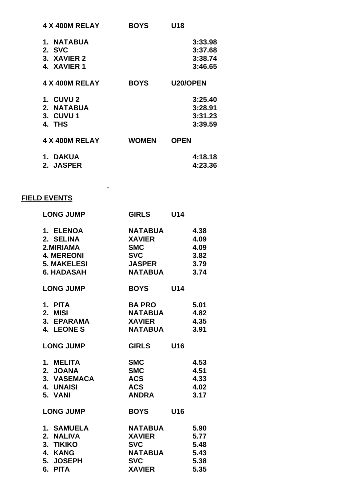| 4 X 400M RELAY        | <b>BOYS</b>  | U18         |
|-----------------------|--------------|-------------|
| 1. NATABUA            |              | 3:33.98     |
| 2. SVC                |              | 3:37.68     |
| 3. XAVIER 2           |              | 3:38.74     |
| 4. XAVIER 1           |              | 3:46.65     |
| <b>4 X 400M RELAY</b> | <b>BOYS</b>  | U20/OPEN    |
| <b>1. CUVU 2</b>      |              | 3:25.40     |
| 2. NATABUA            |              | 3:28.91     |
| 3. CUVU 1             |              | 3:31.23     |
| 4. THS                |              | 3:39.59     |
| 4 X 400M RELAY        | <b>WOMEN</b> | <b>OPEN</b> |
| 1. DAKUA              |              | 4:18.18     |
| <b>2. JASPER</b>      |              | 4:23.36     |

**`**

### **FIELD EVENTS**

| <b>LONG JUMP</b>                                                               | <b>GIRLS</b>                                                                                   | <b>U14</b>      |                                              |
|--------------------------------------------------------------------------------|------------------------------------------------------------------------------------------------|-----------------|----------------------------------------------|
| <b>1. ELENOA</b><br>2. SELINA                                                  | I<br>NATABUA<br>XAVIEP<br><b>SMC</b><br><b>NATABUA</b>                                         |                 | 4.38<br>4.09<br>4.09<br>3.82<br>3.79<br>3.74 |
| <b>LONG JUMP</b>                                                               | <b>BOYS</b>                                                                                    | <b>U14</b>      |                                              |
| 1. PITA<br>2. MISI<br>3. EPARAMA<br>4. LEONE S                                 | <b>BA PRO<br/>NATABUA</b><br><b>XAVIER</b><br><b>NATABUA</b>                                   |                 | 5.01<br>4.82<br>4.35<br>3.91                 |
| <b>LONG JUMP</b>                                                               | <b>GIRLS</b>                                                                                   | U <sub>16</sub> |                                              |
| 1. MELITA<br>2. JOANA<br>3. VASEMACA<br>4. UNAISI<br>5. VANI                   | <b>SMC</b><br><b>SMC</b><br><b>ACS</b><br><b>ACS</b><br><b>ANDRA</b>                           |                 | 4.53<br>4.51<br>4.33<br>4.02<br>3.17         |
| <b>LONG JUMP</b>                                                               | <b>BOYS</b>                                                                                    | U16             |                                              |
| <b>1. SAMUELA</b><br>2. NALIVA<br>3. TIKIKO<br>4. KANG<br>5. JOSEPH<br>6. PITA | <b>NATABUA</b><br><b>XAVIER</b><br><b>SVC</b><br><b>NATABUA</b><br><b>SVC</b><br><b>XAVIER</b> |                 | 5.90<br>5.77<br>5.48<br>5.43<br>5.38<br>5.35 |
|                                                                                |                                                                                                |                 |                                              |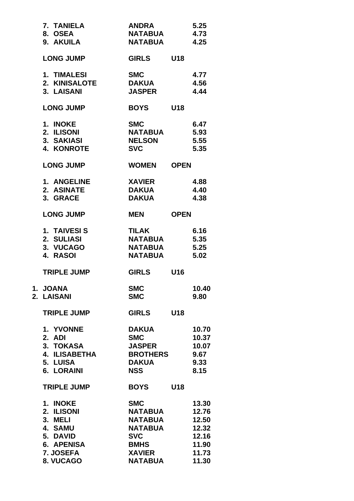|                                                                                                          | <b>NATABUA</b>                                                                                          |                 | 5.25<br>4.73<br>4.25                                        |
|----------------------------------------------------------------------------------------------------------|---------------------------------------------------------------------------------------------------------|-----------------|-------------------------------------------------------------|
| <b>LONG JUMP</b>                                                                                         | <b>GIRLS</b>                                                                                            | U18             |                                                             |
| 1. TIMALESI<br>2. KINISALOTE<br>3. LAISANI                                                               | <b>SMC</b><br><b>DAKUA</b><br><b>JASPER</b>                                                             |                 | 4.77<br>4.56<br>4.44                                        |
| <b>LONG JUMP</b>                                                                                         | <b>BOYS</b>                                                                                             | U <sub>18</sub> |                                                             |
| 1. INOKE<br>2. ILISONI<br>3. SAKIASI<br><b>4. KONROTE</b>                                                | SMC      6.47<br>NATABUA    5.93<br><b>NELSON</b><br><b>SVC</b>                                         |                 | 5.55<br>5.35                                                |
| <b>LONG JUMP</b>                                                                                         | <b>WOMEN</b>                                                                                            | <b>OPEN</b>     |                                                             |
| <b>1. ANGELINE XAVIER</b><br><b>2. ASINATE</b><br><b>3. GRACE</b>                                        | <b>DAKUA</b><br><b>DAKUA</b>                                                                            |                 | 4.88<br>4.40<br>4.38                                        |
| <b>LONG JUMP</b>                                                                                         | <b>MEN</b>                                                                                              | <b>OPEN</b>     |                                                             |
| <b>1. TAIVESI S</b><br>2. SULIASI<br>3. VUCAGO<br>4. RASOI                                               | <b>TILAK</b><br>NATABUA 5.35<br><b>NATABUA</b><br><b>NATABUA</b>                                        |                 | 6.16<br>5.25<br>5.02                                        |
| <b>TRIPLE JUMP</b>                                                                                       | <b>GIRLS</b>                                                                                            | U <sub>16</sub> |                                                             |
| 1. JOANA<br>2. LAISANI                                                                                   | <b>SMC</b><br><b>SMC</b>                                                                                |                 | 10.40<br>9.80                                               |
| <b>TRIPLE JUMP</b>                                                                                       | <b>GIRLS</b>                                                                                            | <b>U18</b>      |                                                             |
| 1. YVONNE<br>2. ADI<br>3. TOKASA<br>4. ILISABETHA<br>5. LUISA<br><b>6. LORAINI</b>                       | <b>DAKUA</b><br><b>SMC</b><br><b>JASPER</b><br><b>BROTHERS</b><br><b>DAKUA</b><br><b>NSS</b>            |                 | 10.70<br>10.37<br>10.07<br>9.67<br>9.33<br>8.15             |
| <b>TRIPLE JUMP</b>                                                                                       | <b>BOYS</b>                                                                                             | U18             |                                                             |
| 1. INOKE<br>2. ILISONI<br>3. MELI<br><b>4. SAMU</b><br><b>5. DAVID</b><br><b>6. APENISA</b><br>7. JOSEFA | <b>SMC</b><br><b>NATABUA</b><br><b>NATABUA</b><br>NATABUA<br><b>SVC</b><br><b>BMHS</b><br><b>XAVIER</b> |                 | 13.30<br>12.76<br>12.50<br>12.32<br>12.16<br>11.90<br>11.73 |
| 8. VUCAGO                                                                                                | <b>NATABUA</b>                                                                                          |                 | 11.30                                                       |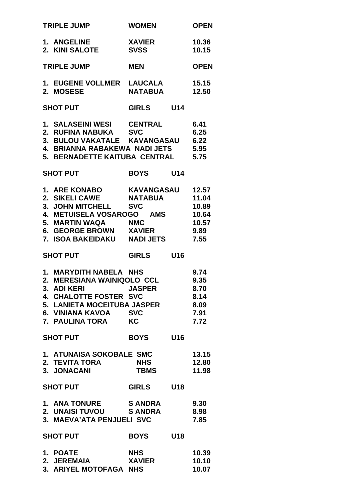| <b>TRIPLE JUMP</b>                                                                                                                                                                 | <b>WOMEN</b>                |            | <b>OPEN</b>                                               |
|------------------------------------------------------------------------------------------------------------------------------------------------------------------------------------|-----------------------------|------------|-----------------------------------------------------------|
| 1. ANGELINE<br>2. KINI SALOTE                                                                                                                                                      | <b>XAVIER</b><br>SVSS       |            | 10.36<br>10.15                                            |
| <b>TRIPLE JUMP</b>                                                                                                                                                                 | <b>MEN</b>                  |            | <b>OPEN</b>                                               |
| 1. EUGENE VOLLMER LAUCALA<br>2. MOSESE                                                                                                                                             | <b>NATABUA</b>              |            | 15.15<br>12.50                                            |
| <b>SHOT PUT</b>                                                                                                                                                                    | <b>GIRLS</b>                | U14        |                                                           |
| 1. SALASEINI WESI CENTRAL<br>2. RUFINA NABUKA SVC<br>3. BULOU VAKATALE KAVANGASAU 6.22<br>4. BRIANNA RABAKEWA NADI JETS<br>5. BERNADETTE KAITUBA CENTRAL 5.75                      |                             |            | 6.41<br>6.25<br>5.95                                      |
| <b>SHOT PUT</b>                                                                                                                                                                    | <b>BOYS</b>                 | U14        |                                                           |
| 1. ARE KONABO KAVANGASAU<br>2. SIKELI CAWE NATABUA<br>3. JOHN MITCHELL SVC<br>4. METUISELA VOSAROGO AMS<br>5. MARTIN WAQA<br>6. GEORGE BROWN XAVIER<br>7. ISOA BAKEIDAKU NADI JETS | <b>NMC</b>                  |            | 12.57<br>11.04<br>10.89<br>10.64<br>10.57<br>9.89<br>7.55 |
| <b>SHOT PUT</b>                                                                                                                                                                    | <b>GIRLS</b>                | U16        |                                                           |
| 1. MARYDITH NABELA NHS<br>2. MERESIANA WAINIQOLO CCL<br>3. ADI KERI JASPER<br>4. CHALOTTE FOSTER SVC<br>5. LANIETA MOCEITUBA JASPER<br>6. VINIANA KAVOA SVC<br>7. PAULINA TORA KC  |                             |            | 9.74<br>9.35<br>8.70<br>8.14<br>8.09<br>7.91<br>7.72      |
| <b>SHOT PUT</b>                                                                                                                                                                    | <b>BOYS</b>                 | U16        |                                                           |
| <b>1. ATUNAISA SOKOBALE SMC</b><br>2. TEVITA TORA<br><b>3. JONACANI</b>                                                                                                            | <b>NHS</b><br><b>TBMS</b>   |            | 13.15<br>12.80<br>11.98                                   |
| <b>SHOT PUT</b>                                                                                                                                                                    | <b>GIRLS</b>                | U18        |                                                           |
| 1. ANA TONURE SANDRA<br>2. UNAISI TUVOU SANDRA<br><b>3. MAEVA'ATA PENJUELI SVC</b>                                                                                                 |                             |            | 9.30<br>8.98<br>7.85                                      |
| <b>SHOT PUT</b>                                                                                                                                                                    | <b>BOYS</b>                 | <b>U18</b> |                                                           |
| <b>1. POATE</b><br><b>2. JEREMAIA</b><br>3. ARIYEL MOTOFAGA NHS                                                                                                                    | <b>NHS</b><br><b>XAVIER</b> |            | 10.39<br>10.10<br>10.07                                   |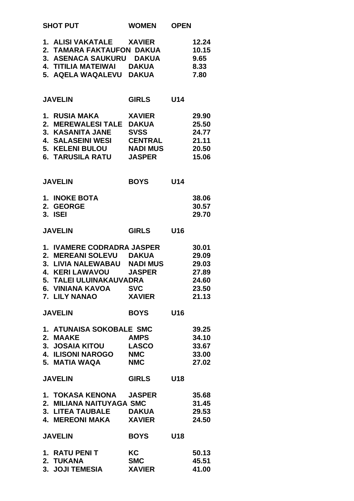|                | <b>SHOT PUT</b>                                                                                                                                                               | <b>WOMEN</b>                                                                       | <b>OPEN</b> |                                                             |
|----------------|-------------------------------------------------------------------------------------------------------------------------------------------------------------------------------|------------------------------------------------------------------------------------|-------------|-------------------------------------------------------------|
|                | 1. ALISI VAKATALE XAVIER<br>2. TAMARA FAKTAUFON DAKUA<br>3. ASENACA SAUKURU DAKUA<br>4. TITILIA MATEIWAI<br>5. AQELA WAQALEVU DAKUA                                           | <b>DAKUA</b>                                                                       |             | 12.24<br>10.15<br>9.65<br>8.33<br>7.80                      |
|                | <b>JAVELIN</b>                                                                                                                                                                | <b>GIRLS</b>                                                                       | U14         |                                                             |
|                | 1. RUSIA MAKA<br>2. MEREWALESI TALE DAKUA<br>3. KASANITA JANE<br><b>4. SALASEINI WESI</b><br><b>5. KELENI BULOU</b><br>6. TARUSILA RATU                                       | <b>XAVIER</b><br><b>SVSS</b><br><b>CENTRAL</b><br><b>NADI MUS</b><br><b>JASPER</b> |             | 29.90<br>25.50<br>24.77<br>21.11<br>20.50<br>15.06          |
|                | <b>JAVELIN</b>                                                                                                                                                                | <b>BOYS</b>                                                                        | U14         |                                                             |
|                | <b>1. INOKE BOTA</b><br>2. GEORGE<br>3. ISEI                                                                                                                                  |                                                                                    |             | 38.06<br>30.57<br>29.70                                     |
|                | <b>JAVELIN</b>                                                                                                                                                                | <b>GIRLS</b>                                                                       | U16         |                                                             |
| 2.<br>3.<br>5. | <b>1. IVAMERE CODRADRA JASPER</b><br><b>MEREANI SOLEVU</b><br>LIVIA NALEWABAU NADI MUS<br>4. KERI LAWAVOU<br><b>TALEI ULUINAKAUVADRA</b><br>6. VINIANA KAVOA<br>7. LILY NANAO | <b>DAKUA</b><br><b>JASPER</b><br>SVC<br><b>XAVIER</b>                              |             | 30.01<br>29.09<br>29.03<br>27.89<br>24.60<br>23.50<br>21.13 |
|                | <b>JAVELIN</b>                                                                                                                                                                | <b>BOYS</b>                                                                        | U16         |                                                             |
|                | <b>1. ATUNAISA SOKOBALE SMC</b><br>2. MAAKE<br>3. JOSAIA KITOU<br><b>4. ILISONI NAROGO</b><br>5. MATIA WAQA                                                                   | <b>AMPS</b><br><b>LASCO</b><br><b>NMC</b><br><b>NMC</b>                            |             | 39.25<br>34.10<br>33.67<br>33.00<br>27.02                   |
|                | <b>JAVELIN</b>                                                                                                                                                                | <b>GIRLS</b>                                                                       | U18         |                                                             |
|                | 1. TOKASA KENONA JASPER<br>2. MILIANA NAITUYAGA SMC<br>3. LITEA TAUBALE DAKUA<br>4. MEREONI MAKA XAVIER                                                                       |                                                                                    |             | 35.68<br>31.45<br>29.53<br>24.50                            |
|                | <b>JAVELIN</b>                                                                                                                                                                | <b>BOYS</b>                                                                        | U18         |                                                             |
|                | <b>1. RATU PENIT</b><br>2. TUKANA<br><b>3. JOJI TEMESIA</b>                                                                                                                   | KC<br><b>SMC</b><br><b>XAVIER</b>                                                  |             | 50.13<br>45.51<br>41.00                                     |